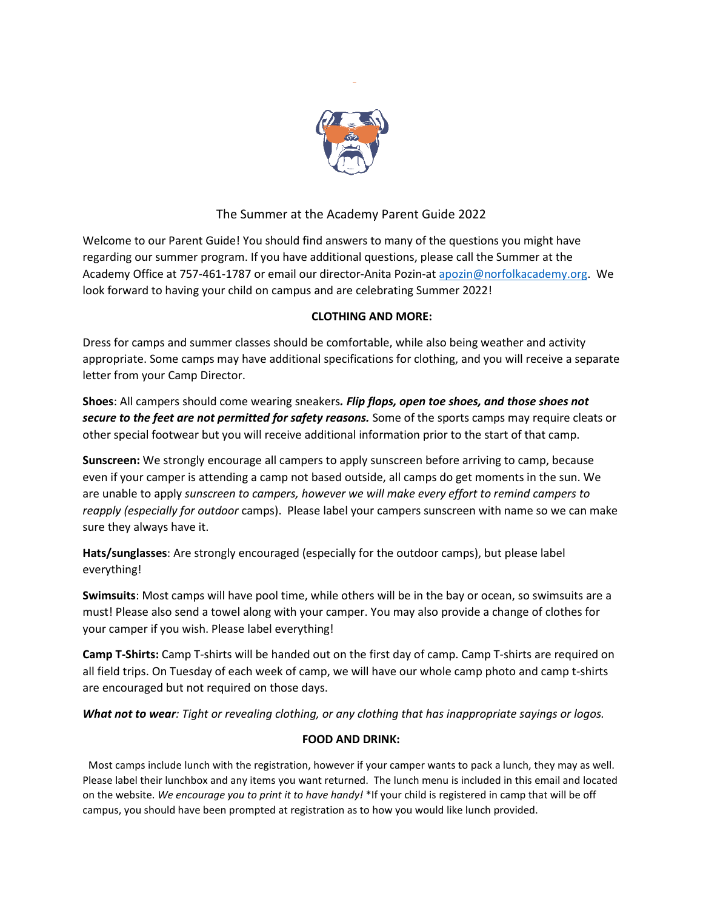

# The Summer at the Academy Parent Guide 2022

Welcome to our Parent Guide! You should find answers to many of the questions you might have regarding our summer program. If you have additional questions, please call the Summer at the Academy Office at 757-461-1787 or email our director-Anita Pozin-at [apozin@norfolkacademy.org.](mailto:apozin@norfolkacademy.org) We look forward to having your child on campus and are celebrating Summer 2022!

## **CLOTHING AND MORE:**

Dress for camps and summer classes should be comfortable, while also being weather and activity appropriate. Some camps may have additional specifications for clothing, and you will receive a separate letter from your Camp Director.

**Shoes**: All campers should come wearing sneakers*. Flip flops, open toe shoes, and those shoes not secure to the feet are not permitted for safety reasons.* Some of the sports camps may require cleats or other special footwear but you will receive additional information prior to the start of that camp.

**Sunscreen:** We strongly encourage all campers to apply sunscreen before arriving to camp, because even if your camper is attending a camp not based outside, all camps do get moments in the sun. We are unable to apply *sunscreen to campers, however we will make every effort to remind campers to reapply (especially for outdoor* camps). Please label your campers sunscreen with name so we can make sure they always have it.

**Hats/sunglasses**: Are strongly encouraged (especially for the outdoor camps), but please label everything!

**Swimsuits**: Most camps will have pool time, while others will be in the bay or ocean, so swimsuits are a must! Please also send a towel along with your camper. You may also provide a change of clothes for your camper if you wish. Please label everything!

**Camp T-Shirts:** Camp T-shirts will be handed out on the first day of camp. Camp T-shirts are required on all field trips. On Tuesday of each week of camp, we will have our whole camp photo and camp t-shirts are encouraged but not required on those days.

*What not to wear: Tight or revealing clothing, or any clothing that has inappropriate sayings or logos.* 

## **FOOD AND DRINK:**

Most camps include lunch with the registration, however if your camper wants to pack a lunch, they may as well. Please label their lunchbox and any items you want returned. The lunch menu is included in this email and located on the website. *We encourage you to print it to have handy!* \*If your child is registered in camp that will be off campus, you should have been prompted at registration as to how you would like lunch provided.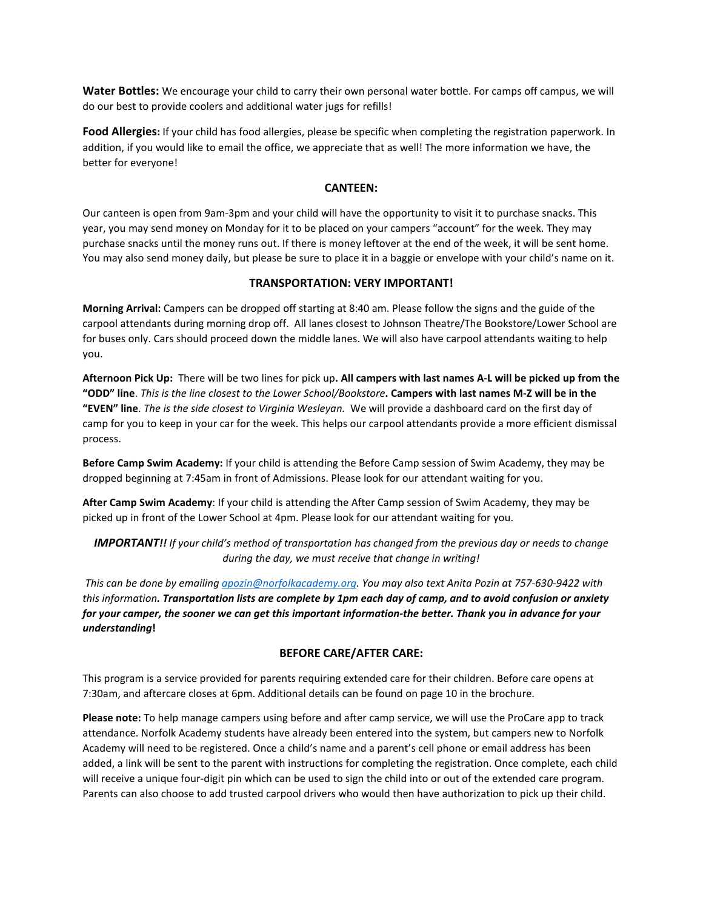**Water Bottles:** We encourage your child to carry their own personal water bottle. For camps off campus, we will do our best to provide coolers and additional water jugs for refills!

**Food Allergies:** If your child has food allergies, please be specific when completing the registration paperwork. In addition, if you would like to email the office, we appreciate that as well! The more information we have, the better for everyone!

#### **CANTEEN:**

Our canteen is open from 9am-3pm and your child will have the opportunity to visit it to purchase snacks. This year, you may send money on Monday for it to be placed on your campers "account" for the week. They may purchase snacks until the money runs out. If there is money leftover at the end of the week, it will be sent home. You may also send money daily, but please be sure to place it in a baggie or envelope with your child's name on it.

#### **TRANSPORTATION: VERY IMPORTANT!**

**Morning Arrival:** Campers can be dropped off starting at 8:40 am. Please follow the signs and the guide of the carpool attendants during morning drop off. All lanes closest to Johnson Theatre/The Bookstore/Lower School are for buses only. Cars should proceed down the middle lanes. We will also have carpool attendants waiting to help you.

**Afternoon Pick Up:** There will be two lines for pick up**. All campers with last names A-L will be picked up from the "ODD" line**. *This is the line closest to the Lower School/Bookstore***. Campers with last names M-Z will be in the "EVEN" line**. *The is the side closest to Virginia Wesleyan.* We will provide a dashboard card on the first day of camp for you to keep in your car for the week. This helps our carpool attendants provide a more efficient dismissal process.

**Before Camp Swim Academy:** If your child is attending the Before Camp session of Swim Academy, they may be dropped beginning at 7:45am in front of Admissions. Please look for our attendant waiting for you.

**After Camp Swim Academy**: If your child is attending the After Camp session of Swim Academy, they may be picked up in front of the Lower School at 4pm. Please look for our attendant waiting for you.

*IMPORTANT!! If your child's method of transportation has changed from the previous day or needs to change during the day, we must receive that change in writing!*

*This can be done by emailin[g apozin@norfolkacademy.org.](mailto:apozin@norfolkacademy.org) You may also text Anita Pozin at 757-630-9422 with this information. Transportation lists are complete by 1pm each day of camp, and to avoid confusion or anxiety for your camper, the sooner we can get this important information-the better. Thank you in advance for your understanding***!** 

#### **BEFORE CARE/AFTER CARE:**

This program is a service provided for parents requiring extended care for their children. Before care opens at 7:30am, and aftercare closes at 6pm. Additional details can be found on page 10 in the brochure.

**Please note:** To help manage campers using before and after camp service, we will use the ProCare app to track attendance. Norfolk Academy students have already been entered into the system, but campers new to Norfolk Academy will need to be registered. Once a child's name and a parent's cell phone or email address has been added, a link will be sent to the parent with instructions for completing the registration. Once complete, each child will receive a unique four-digit pin which can be used to sign the child into or out of the extended care program. Parents can also choose to add trusted carpool drivers who would then have authorization to pick up their child.